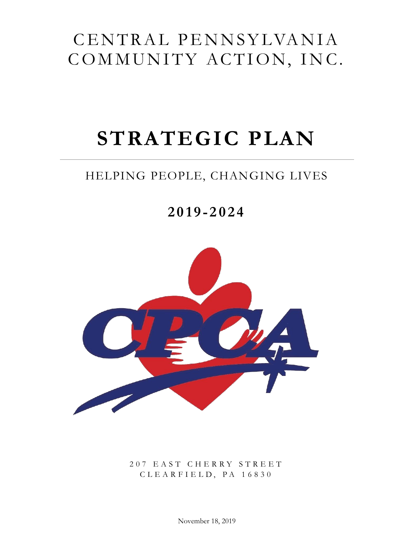# CENTRAL PENNSYLVANIA COMMUNITY ACTION, INC.

# **STRATEGIC PLAN**

### HELPING PEOPLE, CHANGING LIVES

## **201 9 - 2 0 2 4**



2 0 7 E A S T C H E R R Y S T R E E T C L E A R F I E L D , P A 1 6 8 3 0

November 18, 2019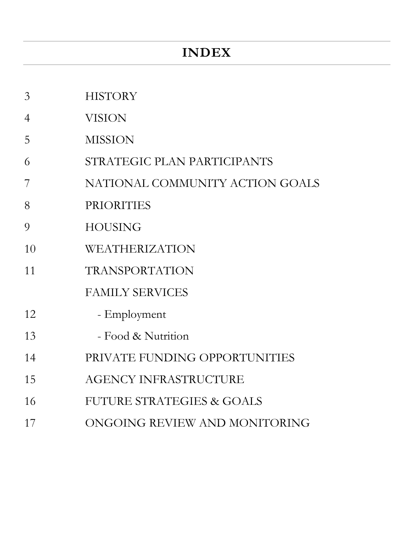### **INDEX**

- HISTORY
- VISION
- MISSION
- STRATEGIC PLAN PARTICIPANTS
- NATIONAL COMMUNITY ACTION GOALS
- PRIORITIES
- HOUSING
- WEATHERIZATION
- TRANSPORTATION

### FAMILY SERVICES

- 12 Employment
- 13 Food & Nutrition
- PRIVATE FUNDING OPPORTUNITIES
- AGENCY INFRASTRUCTURE
- FUTURE STRATEGIES & GOALS
- ONGOING REVIEW AND MONITORING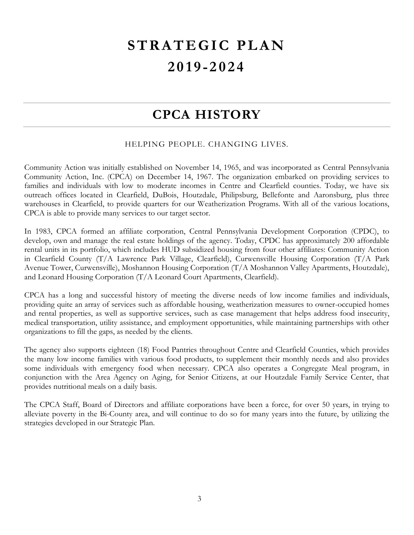# **STRATEGIC PLAN 201 9 - 2 0 2 4**

### **CPCA HISTORY**

#### HELPING PEOPLE. CHANGING LIVES.

Community Action was initially established on November 14, 1965, and was incorporated as Central Pennsylvania Community Action, Inc. (CPCA) on December 14, 1967. The organization embarked on providing services to families and individuals with low to moderate incomes in Centre and Clearfield counties. Today, we have six outreach offices located in Clearfield, DuBois, Houtzdale, Philipsburg, Bellefonte and Aaronsburg, plus three warehouses in Clearfield, to provide quarters for our Weatherization Programs. With all of the various locations, CPCA is able to provide many services to our target sector.

In 1983, CPCA formed an affiliate corporation, Central Pennsylvania Development Corporation (CPDC), to develop, own and manage the real estate holdings of the agency. Today, CPDC has approximately 200 affordable rental units in its portfolio, which includes HUD subsidized housing from four other affiliates: Community Action in Clearfield County (T/A Lawrence Park Village, Clearfield), Curwensville Housing Corporation (T/A Park Avenue Tower, Curwensville), Moshannon Housing Corporation (T/A Moshannon Valley Apartments, Houtzdale), and Leonard Housing Corporation (T/A Leonard Court Apartments, Clearfield).

CPCA has a long and successful history of meeting the diverse needs of low income families and individuals, providing quite an array of services such as affordable housing, weatherization measures to owner-occupied homes and rental properties, as well as supportive services, such as case management that helps address food insecurity, medical transportation, utility assistance, and employment opportunities, while maintaining partnerships with other organizations to fill the gaps, as needed by the clients.

The agency also supports eighteen (18) Food Pantries throughout Centre and Clearfield Counties, which provides the many low income families with various food products, to supplement their monthly needs and also provides some individuals with emergency food when necessary. CPCA also operates a Congregate Meal program, in conjunction with the Area Agency on Aging, for Senior Citizens, at our Houtzdale Family Service Center, that provides nutritional meals on a daily basis.

The CPCA Staff, Board of Directors and affiliate corporations have been a force, for over 50 years, in trying to alleviate poverty in the Bi-County area, and will continue to do so for many years into the future, by utilizing the strategies developed in our Strategic Plan.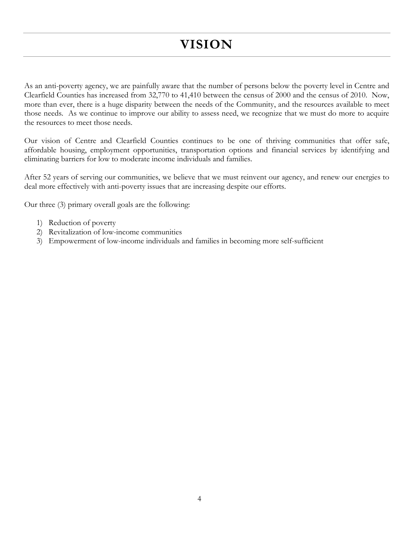### **VISION**

As an anti-poverty agency, we are painfully aware that the number of persons below the poverty level in Centre and Clearfield Counties has increased from 32,770 to 41,410 between the census of 2000 and the census of 2010. Now, more than ever, there is a huge disparity between the needs of the Community, and the resources available to meet those needs. As we continue to improve our ability to assess need, we recognize that we must do more to acquire the resources to meet those needs.

Our vision of Centre and Clearfield Counties continues to be one of thriving communities that offer safe, affordable housing, employment opportunities, transportation options and financial services by identifying and eliminating barriers for low to moderate income individuals and families.

After 52 years of serving our communities, we believe that we must reinvent our agency, and renew our energies to deal more effectively with anti-poverty issues that are increasing despite our efforts.

Our three (3) primary overall goals are the following:

- 1) Reduction of poverty
- 2) Revitalization of low-income communities
- 3) Empowerment of low-income individuals and families in becoming more self-sufficient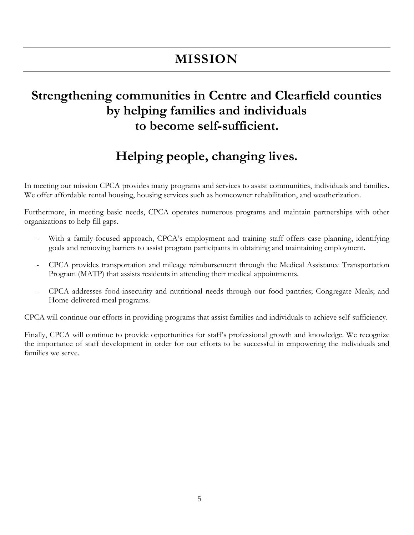### **MISSION**

### **Strengthening communities in Centre and Clearfield counties by helping families and individuals to become self-sufficient.**

### **Helping people, changing lives.**

In meeting our mission CPCA provides many programs and services to assist communities, individuals and families. We offer affordable rental housing, housing services such as homeowner rehabilitation, and weatherization.

Furthermore, in meeting basic needs, CPCA operates numerous programs and maintain partnerships with other organizations to help fill gaps.

- With a family-focused approach, CPCA's employment and training staff offers case planning, identifying goals and removing barriers to assist program participants in obtaining and maintaining employment.
- CPCA provides transportation and mileage reimbursement through the Medical Assistance Transportation Program (MATP) that assists residents in attending their medical appointments.
- CPCA addresses food-insecurity and nutritional needs through our food pantries; Congregate Meals; and Home-delivered meal programs.

CPCA will continue our efforts in providing programs that assist families and individuals to achieve self-sufficiency.

Finally, CPCA will continue to provide opportunities for staff's professional growth and knowledge. We recognize the importance of staff development in order for our efforts to be successful in empowering the individuals and families we serve.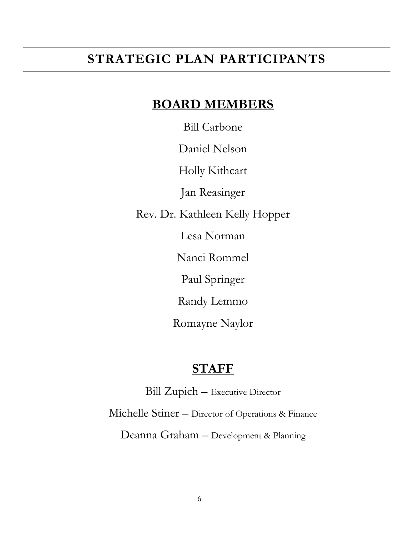### **STRATEGIC PLAN PARTICIPANTS**

### **BOARD MEMBERS**

Bill Carbone

Daniel Nelson

Holly Kithcart

Jan Reasinger

Rev. Dr. Kathleen Kelly Hopper

Lesa Norman

Nanci Rommel

Paul Springer

Randy Lemmo

Romayne Naylor

### **STAFF**

Bill Zupich – Executive Director Michelle Stiner – Director of Operations & Finance Deanna Graham – Development & Planning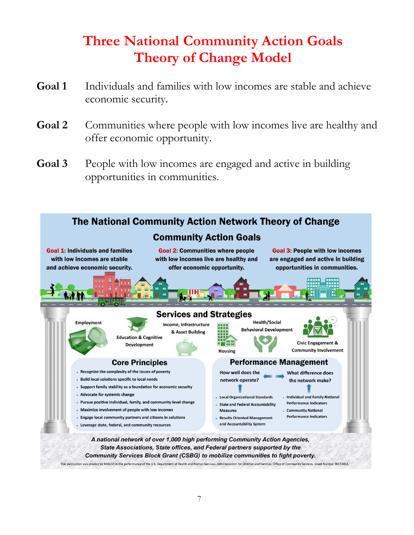## **Three National Community Action Goals Theory of Change Model**

- **Goal 1** Individuals and families with low incomes are stable and achieve economic security.
- Goal 2 Communities where people with low incomes live are healthy and offer economic opportunity.
- **Goal 3** People with low incomes are engaged and active in building opportunities in communities.

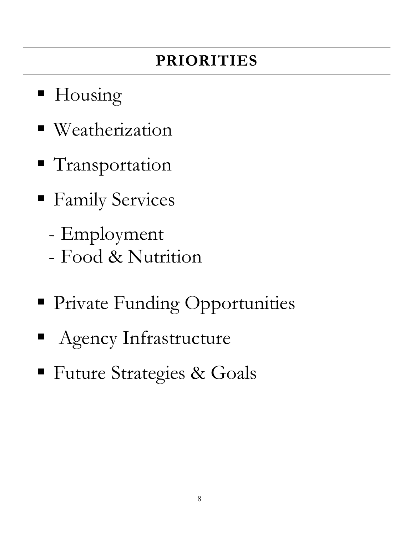# **PRIORITIES**

- **H**ousing
- Weatherization
- **Transportation**
- **Family Services** 
	- Employment
	- Food & Nutrition
- **Private Funding Opportunities**
- Agency Infrastructure
- **Future Strategies & Goals**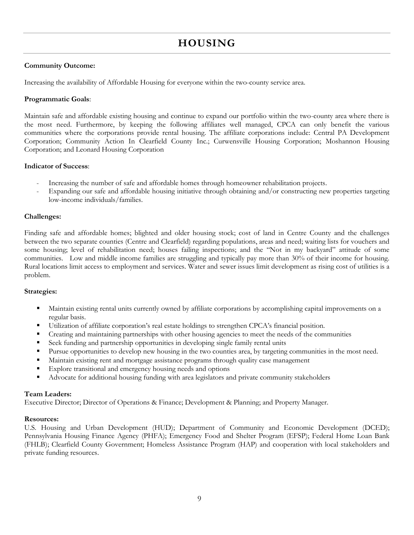### **HOUSING**

#### **Community Outcome:**

Increasing the availability of Affordable Housing for everyone within the two-county service area.

#### **Programmatic Goals**:

Maintain safe and affordable existing housing and continue to expand our portfolio within the two-county area where there is the most need. Furthermore, by keeping the following affiliates well managed, CPCA can only benefit the various communities where the corporations provide rental housing. The affiliate corporations include: Central PA Development Corporation; Community Action In Clearfield County Inc.; Curwensville Housing Corporation; Moshannon Housing Corporation; and Leonard Housing Corporation

#### **Indicator of Success**:

- Increasing the number of safe and affordable homes through homeowner rehabilitation projects.
- Expanding our safe and affordable housing initiative through obtaining and/or constructing new properties targeting low-income individuals/families.

#### **Challenges:**

Finding safe and affordable homes; blighted and older housing stock; cost of land in Centre County and the challenges between the two separate counties (Centre and Clearfield) regarding populations, areas and need; waiting lists for vouchers and some housing; level of rehabilitation need; houses failing inspections; and the "Not in my backyard" attitude of some communities. Low and middle income families are struggling and typically pay more than 30% of their income for housing. Rural locations limit access to employment and services. Water and sewer issues limit development as rising cost of utilities is a problem.

#### **Strategies:**

- Maintain existing rental units currently owned by affiliate corporations by accomplishing capital improvements on a regular basis.
- Utilization of affiliate corporation's real estate holdings to strengthen CPCA's financial position.
- Creating and maintaining partnerships with other housing agencies to meet the needs of the communities
- Seek funding and partnership opportunities in developing single family rental units
- Pursue opportunities to develop new housing in the two counties area, by targeting communities in the most need.
- Maintain existing rent and mortgage assistance programs through quality case management
- **Explore transitional and emergency housing needs and options**
- Advocate for additional housing funding with area legislators and private community stakeholders

#### **Team Leaders:**

Executive Director; Director of Operations & Finance; Development & Planning; and Property Manager.

#### **Resources:**

U.S. Housing and Urban Development (HUD); Department of Community and Economic Development (DCED); Pennsylvania Housing Finance Agency (PHFA); Emergency Food and Shelter Program (EFSP); Federal Home Loan Bank (FHLB); Clearfield County Government; Homeless Assistance Program (HAP) and cooperation with local stakeholders and private funding resources.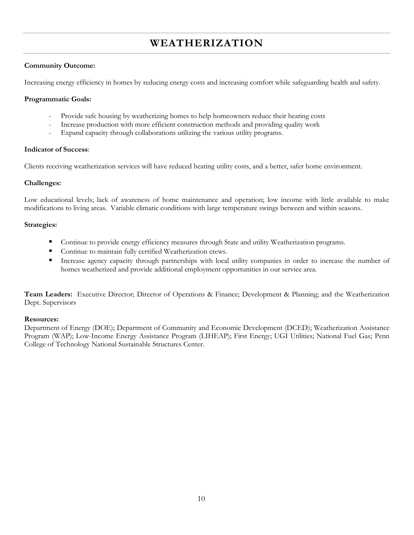### **WEATHERIZATION**

#### **Community Outcome:**

Increasing energy efficiency in homes by reducing energy costs and increasing comfort while safeguarding health and safety.

#### **Programmatic Goals:**

- Provide safe housing by weatherizing homes to help homeowners reduce their heating costs
- Increase production with more efficient construction methods and providing quality work
- Expand capacity through collaborations utilizing the various utility programs.

#### **Indicator of Success**:

Clients receiving weatherization services will have reduced heating utility costs, and a better, safer home environment.

#### **Challenges:**

Low educational levels; lack of awareness of home maintenance and operation; low income with little available to make modifications to living areas. Variable climatic conditions with large temperature swings between and within seasons.

#### **Strategies:**

- **Continue to provide energy efficiency measures through State and utility Weatherization programs.**
- Continue to maintain fully certified Weatherization crews.
- Increase agency capacity through partnerships with local utility companies in order to increase the number of homes weatherized and provide additional employment opportunities in our service area.

**Team Leaders:** Executive Director; Director of Operations & Finance; Development & Planning; and the Weatherization Dept. Supervisors

#### **Resources:**

Department of Energy (DOE); Department of Community and Economic Development (DCED); Weatherization Assistance Program (WAP); Low-Income Energy Assistance Program (LIHEAP); First Energy; UGI Utilities; National Fuel Gas; Penn College of Technology National Sustainable Structures Center.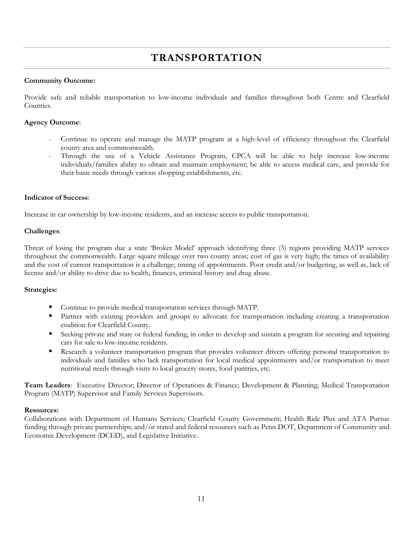### **TRANSPORTATION**

#### **Community Outcome:**

Provide safe and reliable transportation to low-income individuals and families throughout both Centre and Clearfield Counties.

#### **Agency Outcome**:

- Continue to operate and manage the MATP program at a high-level of efficiency throughout the Clearfield county area and commonwealth.
- Through the use of a Vehicle Assistance Program, CPCA will be able to help increase low-income individuals/families ability to obtain and maintain employment; be able to access medical care, and provide for their basic needs through various shopping establishments, etc.

#### **Indicator of Success**:

Increase in car ownership by low-income residents, and an increase access to public transportation.

#### **Challenges**:

Threat of losing the program due a state 'Broker Model' approach identifying three (3) regions providing MATP services throughout the commonwealth. Large square mileage over two county areas; cost of gas is very high; the times of availability and the cost of current transportation is a challenge; timing of appointments. Poor credit and/or budgeting, as well as, lack of license and/or ability to drive due to health, finances, criminal history and drug abuse.

#### **Strategies:**

- Continue to provide medical transportation services through MATP.
- Partner with existing providers and groups to advocate for transportation including creating a transportation coalition for Clearfield County.
- Seeking private and state or federal funding, in order to develop and sustain a program for securing and repairing cars for sale to low-income residents.
- Research a volunteer transportation program that provides volunteer drivers offering personal transportation to individuals and families who lack transportation for local medical appointments and/or transportation to meet nutritional needs through visits to local grocery stores, food pantries, etc.

**Team Leaders**: Executive Director; Director of Operations & Finance; Development & Planning; Medical Transportation Program (MATP) Supervisor and Family Services Supervisors.

#### **Resources:**

Collaborations with Department of Humans Services; Clearfield County Government; Health Ride Plus and ATA Pursue funding through private partnerships; and/or stated and federal resources such as Penn DOT, Department of Community and Economic Development (DCED), and Legislative Initiative.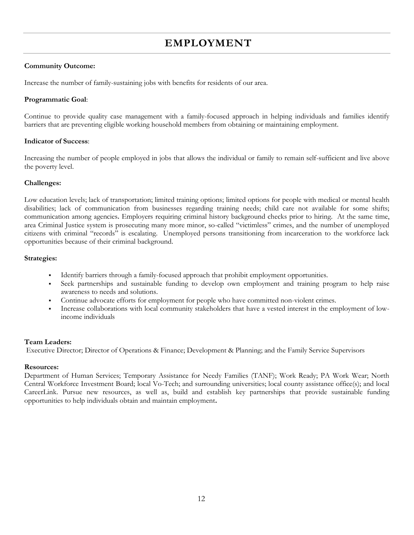### **EMPLOYMENT**

#### **Community Outcome:**

Increase the number of family-sustaining jobs with benefits for residents of our area.

#### **Programmatic Goal**:

Continue to provide quality case management with a family-focused approach in helping individuals and families identify barriers that are preventing eligible working household members from obtaining or maintaining employment.

#### **Indicator of Success**:

Increasing the number of people employed in jobs that allows the individual or family to remain self-sufficient and live above the poverty level.

#### **Challenges:**

Low education levels; lack of transportation; limited training options; limited options for people with medical or mental health disabilities; lack of communication from businesses regarding training needs; child care not available for some shifts; communication among agencies**.** Employers requiring criminal history background checks prior to hiring. At the same time, area Criminal Justice system is prosecuting many more minor, so-called "victimless" crimes, and the number of unemployed citizens with criminal "records" is escalating. Unemployed persons transitioning from incarceration to the workforce lack opportunities because of their criminal background.

#### **Strategies:**

- Identify barriers through a family-focused approach that prohibit employment opportunities.
- Seek partnerships and sustainable funding to develop own employment and training program to help raise awareness to needs and solutions.
- Continue advocate efforts for employment for people who have committed non-violent crimes.
- Increase collaborations with local community stakeholders that have a vested interest in the employment of lowincome individuals

#### **Team Leaders:**

Executive Director; Director of Operations & Finance; Development & Planning; and the Family Service Supervisors

#### **Resources:**

Department of Human Services; Temporary Assistance for Needy Families (TANF); Work Ready; PA Work Wear; North Central Workforce Investment Board; local Vo-Tech; and surrounding universities; local county assistance office(s); and local CareerLink. Pursue new resources, as well as, build and establish key partnerships that provide sustainable funding opportunities to help individuals obtain and maintain employment**.**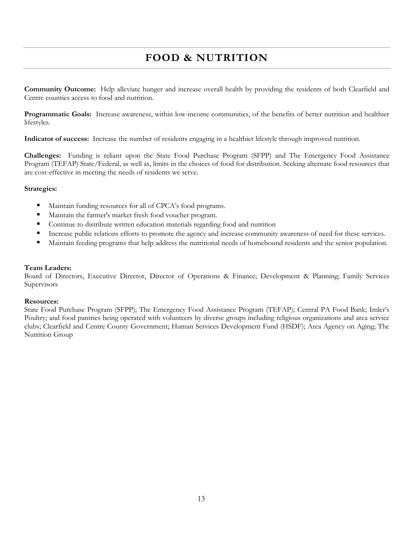### **FOOD & NUTRITION**

**Community Outcome:** Help alleviate hunger and increase overall health by providing the residents of both Clearfield and Centre counties access to food and nutrition.

**Programmatic Goals:** Increase awareness, within low-income communities, of the benefits of better nutrition and healthier lifestyles.

**Indicator of success:** Increase the number of residents engaging in a healthier lifestyle through improved nutrition.

**Challenges:** Funding is reliant upon the State Food Purchase Program (SFPP) and The Emergency Food Assistance Program (TEFAP) State/Federal, as well as, limits in the choices of food for distribution. Seeking alternate food resources that are cost-effective in meeting the needs of residents we serve.

#### **Strategies:**

- Maintain funding resources for all of CPCA's food programs.
- Maintain the farmer's market fresh food voucher program.
- **Continue to distribute written education materials regarding food and nutrition**
- **Increase public relations efforts to promote the agency and increase community awareness of need for these services.**
- Maintain feeding programs that help address the nutritional needs of homebound residents and the senior population.

#### **Team Leaders:**

Board of Directors, Executive Director, Director of Operations & Finance; Development & Planning; Family Services Supervisors

#### **Resources:**

State Food Purchase Program (SFPP); The Emergency Food Assistance Program (TEFAP); Central PA Food Bank; Imler's Poultry; and food pantries being operated with volunteers by diverse groups including religious organizations and area service clubs; Clearfield and Centre County Government; Human Services Development Fund (HSDF); Area Agency on Aging; The Nutrition Group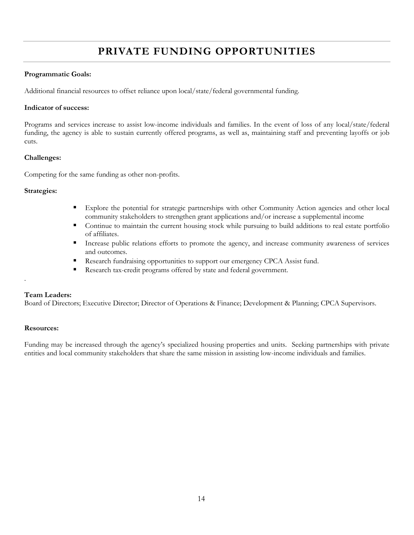### **PRIVATE FUNDING OPPORTUNITIES**

#### **Programmatic Goals:**

Additional financial resources to offset reliance upon local/state/federal governmental funding.

#### **Indicator of success:**

Programs and services increase to assist low-income individuals and families. In the event of loss of any local/state/federal funding, the agency is able to sustain currently offered programs, as well as, maintaining staff and preventing layoffs or job cuts.

#### **Challenges:**

Competing for the same funding as other non-profits.

#### **Strategies:**

- Explore the potential for strategic partnerships with other Community Action agencies and other local community stakeholders to strengthen grant applications and/or increase a supplemental income
- Continue to maintain the current housing stock while pursuing to build additions to real estate portfolio of affiliates.
- Increase public relations efforts to promote the agency, and increase community awareness of services and outcomes.
- Research fundraising opportunities to support our emergency CPCA Assist fund.
- Research tax-credit programs offered by state and federal government.

#### **Team Leaders:**

.

Board of Directors; Executive Director; Director of Operations & Finance; Development & Planning; CPCA Supervisors.

#### **Resources:**

Funding may be increased through the agency's specialized housing properties and units. Seeking partnerships with private entities and local community stakeholders that share the same mission in assisting low-income individuals and families.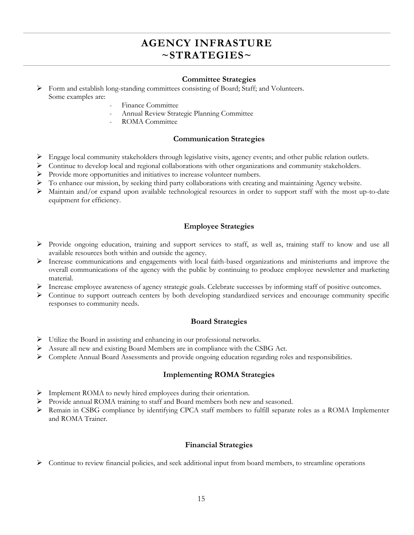### **AGENCY INFRASTURE ~STRATEGIES~**

#### **Committee Strategies**

 Form and establish long-standing committees consisting of Board; Staff; and Volunteers. Some examples are:

- Finance Committee
- Annual Review Strategic Planning Committee
- ROMA Committee

#### **Communication Strategies**

- Engage local community stakeholders through legislative visits, agency events; and other public relation outlets.
- Continue to develop local and regional collaborations with other organizations and community stakeholders.
- Provide more opportunities and initiatives to increase volunteer numbers.
- To enhance our mission, by seeking third party collaborations with creating and maintaining Agency website.
- Maintain and/or expand upon available technological resources in order to support staff with the most up-to-date equipment for efficiency.

#### **Employee Strategies**

- Provide ongoing education, training and support services to staff, as well as, training staff to know and use all available resources both within and outside the agency.
- Increase communications and engagements with local faith-based organizations and ministeriums and improve the overall communications of the agency with the public by continuing to produce employee newsletter and marketing material.
- Increase employee awareness of agency strategic goals. Celebrate successes by informing staff of positive outcomes.
- $\triangleright$  Continue to support outreach centers by both developing standardized services and encourage community specific responses to community needs.

#### **Board Strategies**

- Utilize the Board in assisting and enhancing in our professional networks.
- Assure all new and existing Board Members are in compliance with the CSBG Act.
- Complete Annual Board Assessments and provide ongoing education regarding roles and responsibilities.

#### **Implementing ROMA Strategies**

- Implement ROMA to newly hired employees during their orientation.
- $\triangleright$  Provide annual ROMA training to staff and Board members both new and seasoned.
- Remain in CSBG compliance by identifying CPCA staff members to fulfill separate roles as a ROMA Implementer and ROMA Trainer.

#### **Financial Strategies**

 $\triangleright$  Continue to review financial policies, and seek additional input from board members, to streamline operations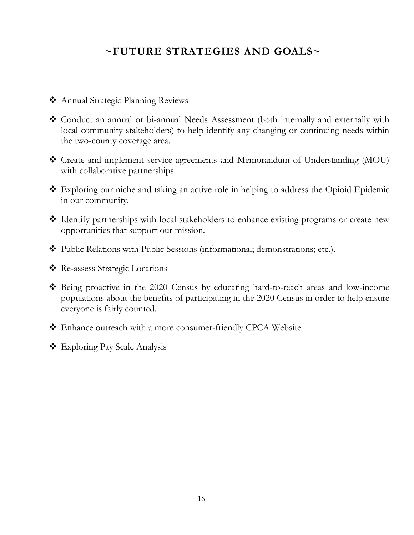### **~FUTURE STRATEGIES AND GOALS~**

- Annual Strategic Planning Reviews
- Conduct an annual or bi-annual Needs Assessment (both internally and externally with local community stakeholders) to help identify any changing or continuing needs within the two-county coverage area.
- Create and implement service agreements and Memorandum of Understanding (MOU) with collaborative partnerships.
- Exploring our niche and taking an active role in helping to address the Opioid Epidemic in our community.
- Identify partnerships with local stakeholders to enhance existing programs or create new opportunities that support our mission.
- Public Relations with Public Sessions (informational; demonstrations; etc.).
- Re-assess Strategic Locations
- Being proactive in the 2020 Census by educating hard-to-reach areas and low-income populations about the benefits of participating in the 2020 Census in order to help ensure everyone is fairly counted.
- Enhance outreach with a more consumer-friendly CPCA Website
- Exploring Pay Scale Analysis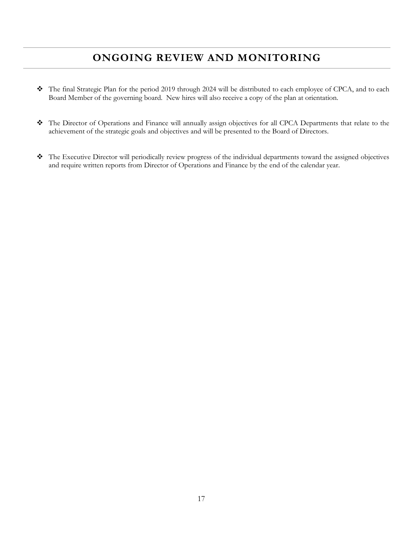### **ONGOING REVIEW AND MONITORING**

- The final Strategic Plan for the period 2019 through 2024 will be distributed to each employee of CPCA, and to each Board Member of the governing board. New hires will also receive a copy of the plan at orientation.
- The Director of Operations and Finance will annually assign objectives for all CPCA Departments that relate to the achievement of the strategic goals and objectives and will be presented to the Board of Directors.
- The Executive Director will periodically review progress of the individual departments toward the assigned objectives and require written reports from Director of Operations and Finance by the end of the calendar year.